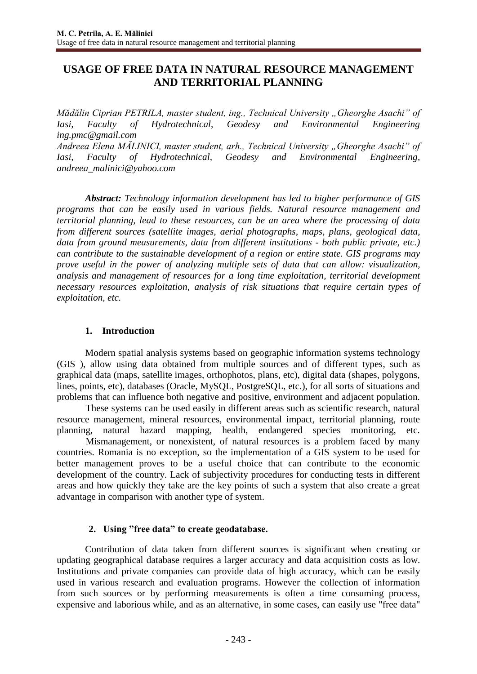# **USAGE OF FREE DATA IN NATURAL RESOURCE MANAGEMENT AND TERRITORIAL PLANNING**

*Mădălin Ciprian PETRILA, master student, ing., Technical University "Gheorghe Asachi" of Iasi, Faculty of Hydrotechnical, Geodesy and Environmental Engineering [ing.pmc@gmail.com](mailto:ing.pmc@gmail.com)*

*Andreea Elena MĂLINICI, master student, arh., Technical University "Gheorghe Asachi" of Iasi, Faculty of Hydrotechnical, Geodesy and Environmental Engineering, [andreea\\_malinici@yahoo.com](mailto:andreea_malinici@yahoo.com)*

*Abstract: Technology information development has led to higher performance of GIS programs that can be easily used in various fields. Natural resource management and territorial planning, lead to these resources, can be an area where the processing of data from different sources (satellite images, aerial photographs, maps, plans, geological data, data from ground measurements, data from different institutions - both public private, etc.) can contribute to the sustainable development of a region or entire state. GIS programs may prove useful in the power of analyzing multiple sets of data that can allow: visualization, analysis and management of resources for a long time exploitation, territorial development necessary resources exploitation, analysis of risk situations that require certain types of exploitation, etc.*

#### **1. Introduction**

Modern spatial analysis systems based on geographic information systems technology (GIS ), allow using data obtained from multiple sources and of different types, such as graphical data (maps, satellite images, orthophotos, plans, etc), digital data (shapes, polygons, lines, points, etc), databases (Oracle, MySQL, PostgreSQL, etc.), for all sorts of situations and problems that can influence both negative and positive, environment and adjacent population.

 These systems can be used easily in different areas such as scientific research, natural resource management, mineral resources, environmental impact, territorial planning, route planning, natural hazard mapping, health, endangered species monitoring, etc.

 Mismanagement, or nonexistent, of natural resources is a problem faced by many countries. Romania is no exception, so the implementation of a GIS system to be used for better management proves to be a useful choice that can contribute to the economic development of the country. Lack of subjectivity procedures for conducting tests in different areas and how quickly they take are the key points of such a system that also create a great advantage in comparison with another type of system.

## **2. Using "free data" to create geodatabase.**

Contribution of data taken from different sources is significant when creating or updating geographical database requires a larger accuracy and data acquisition costs as low. Institutions and private companies can provide data of high accuracy, which can be easily used in various research and evaluation programs. However the collection of information from such sources or by performing measurements is often a time consuming process, expensive and laborious while, and as an alternative, in some cases, can easily use "free data"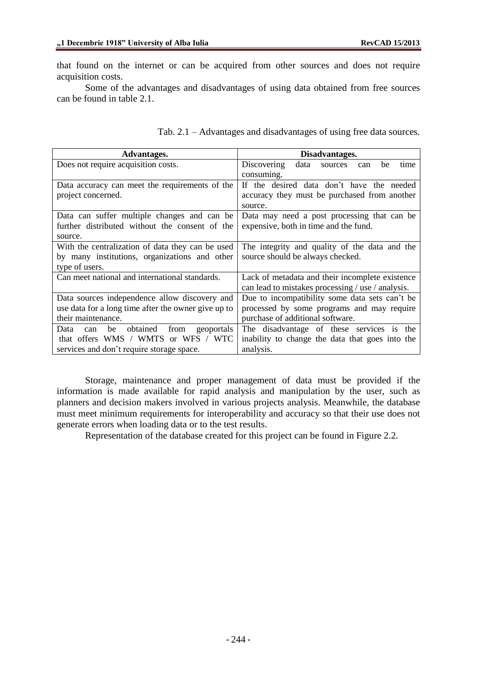that found on the internet or can be acquired from other sources and does not require acquisition costs.

Some of the advantages and disadvantages of using data obtained from free sources can be found in table 2.1.

| Advantages.                                         | Disadvantages.                                      |
|-----------------------------------------------------|-----------------------------------------------------|
| Does not require acquisition costs.                 | Discovering<br>data<br>time<br>sources<br>be<br>can |
|                                                     | consuming.                                          |
| Data accuracy can meet the requirements of the      | If the desired data don't have the needed           |
| project concerned.                                  | accuracy they must be purchased from another        |
|                                                     | source.                                             |
| Data can suffer multiple changes and can be         | Data may need a post processing that can be         |
| further distributed without the consent of the      | expensive, both in time and the fund.               |
| source.                                             |                                                     |
| With the centralization of data they can be used    | The integrity and quality of the data and the       |
| by many institutions, organizations and other       | source should be always checked.                    |
| type of users.                                      |                                                     |
| Can meet national and international standards.      | Lack of metadata and their incomplete existence     |
|                                                     | can lead to mistakes processing / use / analysis.   |
| Data sources independence allow discovery and       | Due to incompatibility some data sets can't be      |
| use data for a long time after the owner give up to | processed by some programs and may require          |
| their maintenance.                                  | purchase of additional software.                    |
| obtained<br>from<br>geoportals<br>Data<br>be<br>can | The disadvantage of these services is the           |
| that offers WMS / WMTS or WFS / WTC                 | inability to change the data that goes into the     |
| services and don't require storage space.           | analysis.                                           |

Storage, maintenance and proper management of data must be provided if the information is made available for rapid analysis and manipulation by the user, such as planners and decision makers involved in various projects analysis. Meanwhile, the database must meet minimum requirements for interoperability and accuracy so that their use does not generate errors when loading data or to the test results.

Representation of the database created for this project can be found in Figure 2.2.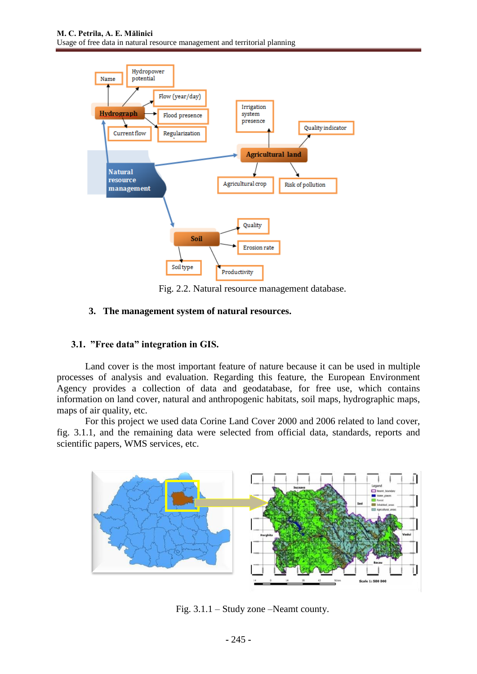

Fig. 2.2. Natural resource management database.

#### **3. The management system of natural resources.**

## **3.1. "Free data" integration in GIS.**

Land cover is the most important feature of nature because it can be used in multiple processes of analysis and evaluation. Regarding this feature, the European Environment Agency provides a collection of data and geodatabase, for free use, which contains information on land cover, natural and anthropogenic habitats, soil maps, hydrographic maps, maps of air quality, etc.

For this project we used data Corine Land Cover 2000 and 2006 related to land cover, fig. 3.1.1, and the remaining data were selected from official data, standards, reports and scientific papers, WMS services, etc.



Fig. 3.1.1 – Study zone –Neamt county.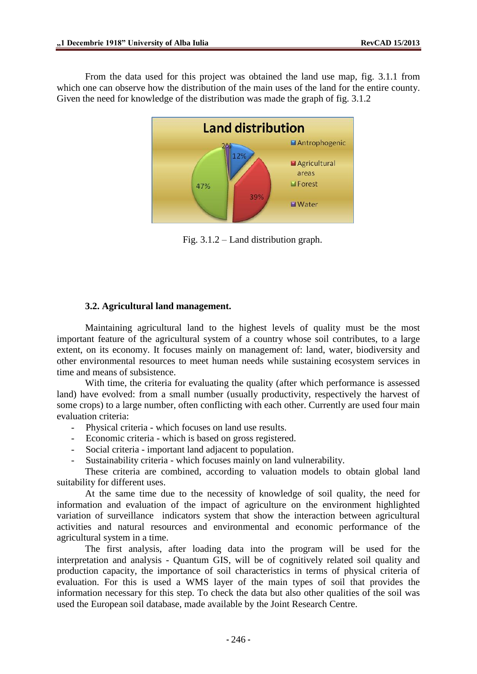From the data used for this project was obtained the land use map, fig. 3.1.1 from which one can observe how the distribution of the main uses of the land for the entire county. Given the need for knowledge of the distribution was made the graph of fig. 3.1.2



Fig. 3.1.2 – Land distribution graph.

#### **3.2. Agricultural land management.**

Maintaining agricultural land to the highest levels of quality must be the most important feature of the agricultural system of a country whose soil contributes, to a large extent, on its economy. It focuses mainly on management of: land, water, biodiversity and other environmental resources to meet human needs while sustaining ecosystem services in time and means of subsistence.

With time, the criteria for evaluating the quality (after which performance is assessed land) have evolved: from a small number (usually productivity, respectively the harvest of some crops) to a large number, often conflicting with each other. Currently are used four main evaluation criteria:

- Physical criteria which focuses on land use results.
- Economic criteria which is based on gross registered.
- Social criteria important land adjacent to population.
- Sustainability criteria which focuses mainly on land vulnerability.

These criteria are combined, according to valuation models to obtain global land suitability for different uses.

At the same time due to the necessity of knowledge of soil quality, the need for information and evaluation of the impact of agriculture on the environment highlighted variation of surveillance indicators system that show the interaction between agricultural activities and natural resources and environmental and economic performance of the agricultural system in a time.

The first analysis, after loading data into the program will be used for the interpretation and analysis - Quantum GIS, will be of cognitively related soil quality and production capacity, the importance of soil characteristics in terms of physical criteria of evaluation. For this is used a WMS layer of the main types of soil that provides the information necessary for this step. To check the data but also other qualities of the soil was used the European soil database, made available by the Joint Research Centre.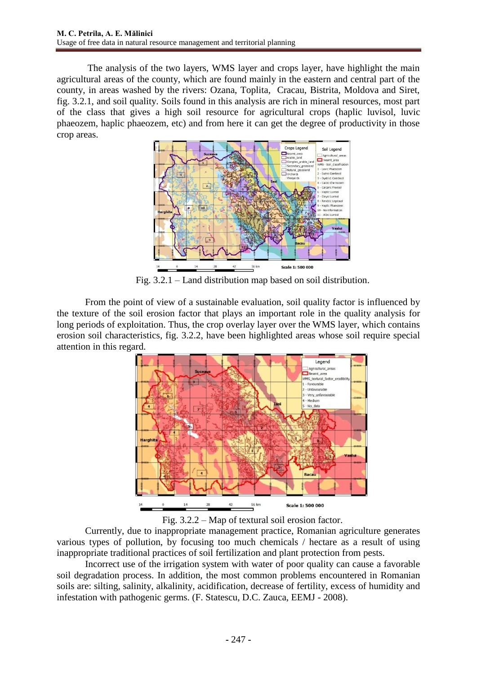The analysis of the two layers, WMS layer and crops layer, have highlight the main agricultural areas of the county, which are found mainly in the eastern and central part of the county, in areas washed by the rivers: Ozana, Toplita, Cracau, Bistrita, Moldova and Siret, fig. 3.2.1, and soil quality. Soils found in this analysis are rich in mineral resources, most part of the class that gives a high soil resource for agricultural crops (haplic luvisol, luvic phaeozem, haplic phaeozem, etc) and from here it can get the degree of productivity in those crop areas.



Fig. 3.2.1 – Land distribution map based on soil distribution.

From the point of view of a sustainable evaluation, soil quality factor is influenced by the texture of the soil erosion factor that plays an important role in the quality analysis for long periods of exploitation. Thus, the crop overlay layer over the WMS layer, which contains erosion soil characteristics, fig. 3.2.2, have been highlighted areas whose soil require special attention in this regard.



Fig. 3.2.2 – Map of textural soil erosion factor.

Currently, due to inappropriate management practice, Romanian agriculture generates various types of pollution, by focusing too much chemicals / hectare as a result of using inappropriate traditional practices of soil fertilization and plant protection from pests.

Incorrect use of the irrigation system with water of poor quality can cause a favorable soil degradation process. In addition, the most common problems encountered in Romanian soils are: silting, salinity, alkalinity, acidification, decrease of fertility, excess of humidity and infestation with pathogenic germs. (F. Statescu, D.C. Zauca, EEMJ - 2008).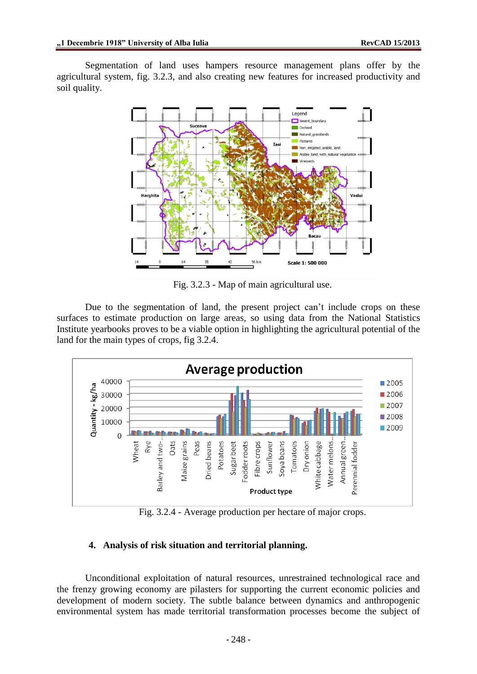Segmentation of land uses hampers resource management plans offer by the agricultural system, fig. 3.2.3, and also creating new features for increased productivity and soil quality.



Fig. 3.2.3 - Map of main agricultural use.

Due to the segmentation of land, the present project can't include crops on these surfaces to estimate production on large areas, so using data from the National Statistics Institute yearbooks proves to be a viable option in highlighting the agricultural potential of the land for the main types of crops, fig 3.2.4.



Fig. 3.2.4 - Average production per hectare of major crops.

## **4. Analysis of risk situation and territorial planning.**

Unconditional exploitation of natural resources, unrestrained technological race and the frenzy growing economy are pilasters for supporting the current economic policies and development of modern society. The subtle balance between dynamics and anthropogenic environmental system has made territorial transformation processes become the subject of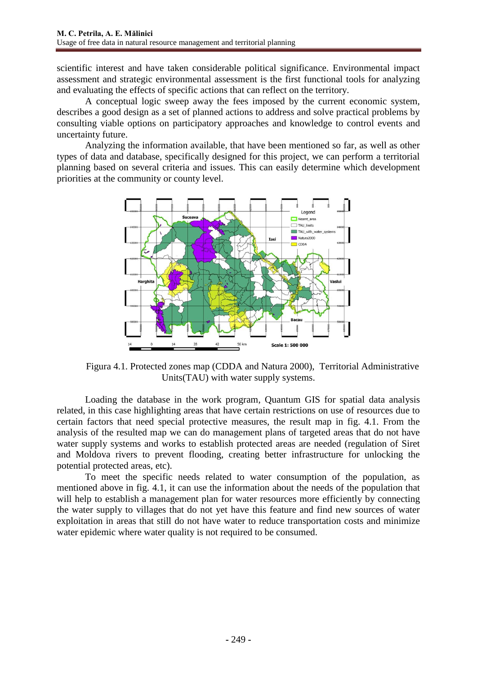scientific interest and have taken considerable political significance. Environmental impact assessment and strategic environmental assessment is the first functional tools for analyzing and evaluating the effects of specific actions that can reflect on the territory.

A conceptual logic sweep away the fees imposed by the current economic system, describes a good design as a set of planned actions to address and solve practical problems by consulting viable options on participatory approaches and knowledge to control events and uncertainty future.

Analyzing the information available, that have been mentioned so far, as well as other types of data and database, specifically designed for this project, we can perform a territorial planning based on several criteria and issues. This can easily determine which development priorities at the community or county level.



Figura 4.1. Protected zones map (CDDA and Natura 2000), Territorial Administrative Units(TAU) with water supply systems.

Loading the database in the work program, Quantum GIS for spatial data analysis related, in this case highlighting areas that have certain restrictions on use of resources due to certain factors that need special protective measures, the result map in fig. 4.1. From the analysis of the resulted map we can do management plans of targeted areas that do not have water supply systems and works to establish protected areas are needed (regulation of Siret and Moldova rivers to prevent flooding, creating better infrastructure for unlocking the potential protected areas, etc).

To meet the specific needs related to water consumption of the population, as mentioned above in fig. 4.1, it can use the information about the needs of the population that will help to establish a management plan for water resources more efficiently by connecting the water supply to villages that do not yet have this feature and find new sources of water exploitation in areas that still do not have water to reduce transportation costs and minimize water epidemic where water quality is not required to be consumed.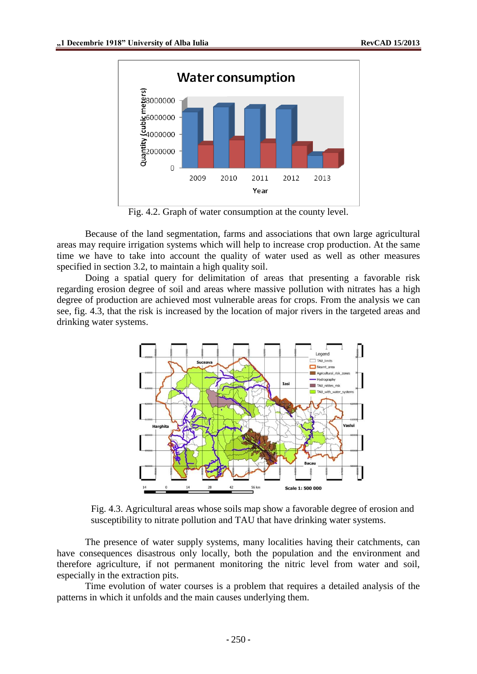

Fig. 4.2. Graph of water consumption at the county level.

Because of the land segmentation, farms and associations that own large agricultural areas may require irrigation systems which will help to increase crop production. At the same time we have to take into account the quality of water used as well as other measures specified in section 3.2, to maintain a high quality soil.

Doing a spatial query for delimitation of areas that presenting a favorable risk regarding erosion degree of soil and areas where massive pollution with nitrates has a high degree of production are achieved most vulnerable areas for crops. From the analysis we can see, fig. 4.3, that the risk is increased by the location of major rivers in the targeted areas and drinking water systems.



Fig. 4.3. Agricultural areas whose soils map show a favorable degree of erosion and susceptibility to nitrate pollution and TAU that have drinking water systems.

The presence of water supply systems, many localities having their catchments, can have consequences disastrous only locally, both the population and the environment and therefore agriculture, if not permanent monitoring the nitric level from water and soil, especially in the extraction pits.

Time evolution of water courses is a problem that requires a detailed analysis of the patterns in which it unfolds and the main causes underlying them.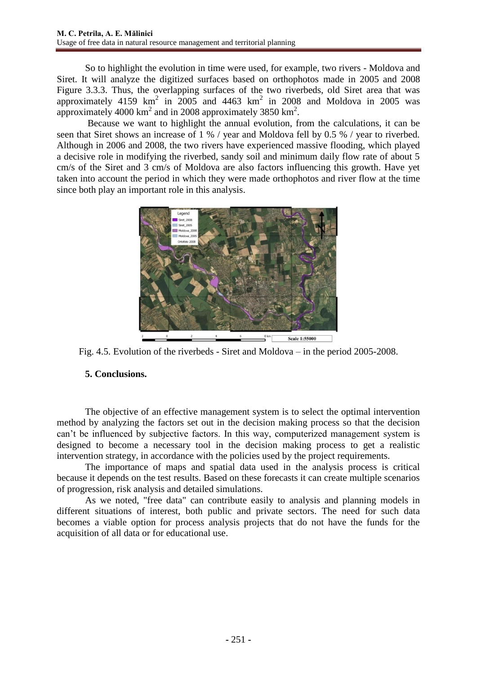So to highlight the evolution in time were used, for example, two rivers - Moldova and Siret. It will analyze the digitized surfaces based on orthophotos made in 2005 and 2008 Figure 3.3.3. Thus, the overlapping surfaces of the two riverbeds, old Siret area that was approximately 4159  $km^2$  in 2005 and 4463  $km^2$  in 2008 and Moldova in 2005 was approximately 4000 km<sup>2</sup> and in 2008 approximately 3850 km<sup>2</sup>.

Because we want to highlight the annual evolution, from the calculations, it can be seen that Siret shows an increase of 1 % / year and Moldova fell by 0.5 % / year to riverbed. Although in 2006 and 2008, the two rivers have experienced massive flooding, which played a decisive role in modifying the riverbed, sandy soil and minimum daily flow rate of about 5 cm/s of the Siret and 3 cm/s of Moldova are also factors influencing this growth. Have yet taken into account the period in which they were made orthophotos and river flow at the time since both play an important role in this analysis.



Fig. 4.5. Evolution of the riverbeds - Siret and Moldova – in the period 2005-2008.

## **5. Conclusions.**

The objective of an effective management system is to select the optimal intervention method by analyzing the factors set out in the decision making process so that the decision can't be influenced by subjective factors. In this way, computerized management system is designed to become a necessary tool in the decision making process to get a realistic intervention strategy, in accordance with the policies used by the project requirements.

The importance of maps and spatial data used in the analysis process is critical because it depends on the test results. Based on these forecasts it can create multiple scenarios of progression, risk analysis and detailed simulations.

As we noted, "free data" can contribute easily to analysis and planning models in different situations of interest, both public and private sectors. The need for such data becomes a viable option for process analysis projects that do not have the funds for the acquisition of all data or for educational use.